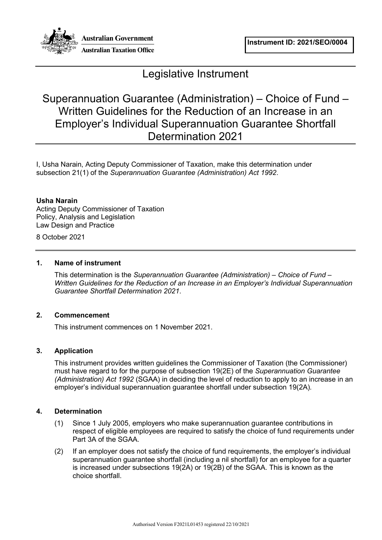

# Legislative Instrument

# Superannuation Guarantee (Administration) – Choice of Fund – Written Guidelines for the Reduction of an Increase in an Employer's Individual Superannuation Guarantee Shortfall Determination 2021

I, Usha Narain, Acting Deputy Commissioner of Taxation, make this determination under subsection 21(1) of the *Superannuation Guarantee (Administration) Act 1992*.

# **Usha Narain**

Acting Deputy Commissioner of Taxation Policy, Analysis and Legislation Law Design and Practice

8 October 2021

# **1. Name of instrument**

This determination is the *Superannuation Guarantee (Administration) – Choice of Fund – Written Guidelines for the Reduction of an Increase in an Employer's Individual Superannuation Guarantee Shortfall Determination 2021*.

# **2. Commencement**

This instrument commences on 1 November 2021.

# **3. Application**

This instrument provides written guidelines the Commissioner of Taxation (the Commissioner) must have regard to for the purpose of subsection 19(2E) of the *Superannuation Guarantee (Administration) Act 1992* (SGAA) in deciding the level of reduction to apply to an increase in an employer's individual superannuation guarantee shortfall under subsection 19(2A)*.*

### **4. Determination**

- (1) Since 1 July 2005, employers who make superannuation guarantee contributions in respect of eligible employees are required to satisfy the choice of fund requirements under Part 3A of the SGAA.
- (2) If an employer does not satisfy the choice of fund requirements, the employer's individual superannuation guarantee shortfall (including a nil shortfall) for an employee for a quarter is increased under subsections 19(2A) or 19(2B) of the SGAA. This is known as the choice shortfall.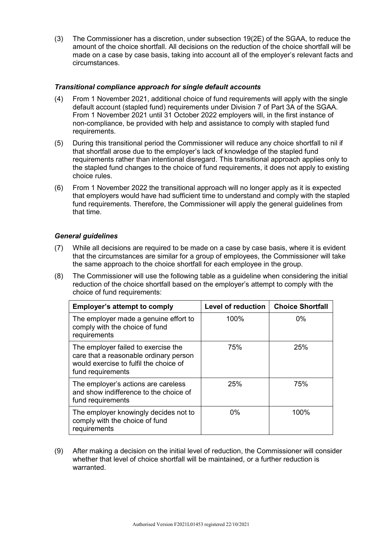(3) The Commissioner has a discretion, under subsection 19(2E) of the SGAA, to reduce the amount of the choice shortfall. All decisions on the reduction of the choice shortfall will be made on a case by case basis, taking into account all of the employer's relevant facts and circumstances.

## *Transitional compliance approach for single default accounts*

- (4) From 1 November 2021, additional choice of fund requirements will apply with the single default account (stapled fund) requirements under Division 7 of Part 3A of the SGAA. From 1 November 2021 until 31 October 2022 employers will, in the first instance of non-compliance, be provided with help and assistance to comply with stapled fund requirements.
- (5) During this transitional period the Commissioner will reduce any choice shortfall to nil if that shortfall arose due to the employer's lack of knowledge of the stapled fund requirements rather than intentional disregard. This transitional approach applies only to the stapled fund changes to the choice of fund requirements, it does not apply to existing choice rules.
- (6) From 1 November 2022 the transitional approach will no longer apply as it is expected that employers would have had sufficient time to understand and comply with the stapled fund requirements. Therefore, the Commissioner will apply the general guidelines from that time.

### *General guidelines*

- (7) While all decisions are required to be made on a case by case basis, where it is evident that the circumstances are similar for a group of employees, the Commissioner will take the same approach to the choice shortfall for each employee in the group.
- (8) The Commissioner will use the following table as a guideline when considering the initial reduction of the choice shortfall based on the employer's attempt to comply with the choice of fund requirements:

| <b>Employer's attempt to comply</b>                                                                                                          | <b>Level of reduction</b> | <b>Choice Shortfall</b> |
|----------------------------------------------------------------------------------------------------------------------------------------------|---------------------------|-------------------------|
| The employer made a genuine effort to<br>comply with the choice of fund<br>requirements                                                      | 100%                      | $0\%$                   |
| The employer failed to exercise the<br>care that a reasonable ordinary person<br>would exercise to fulfil the choice of<br>fund requirements | 75%                       | 25%                     |
| The employer's actions are careless<br>and show indifference to the choice of<br>fund requirements                                           | 25%                       | 75%                     |
| The employer knowingly decides not to<br>comply with the choice of fund<br>requirements                                                      | $0\%$                     | 100%                    |

(9) After making a decision on the initial level of reduction, the Commissioner will consider whether that level of choice shortfall will be maintained, or a further reduction is warranted.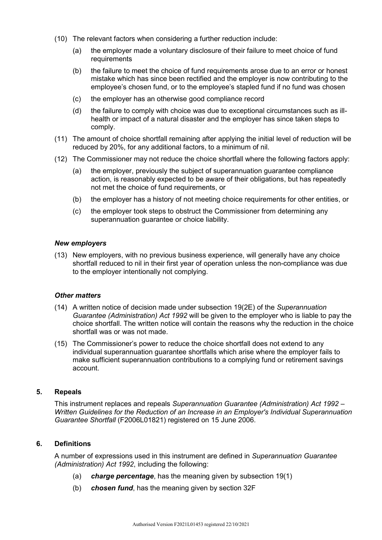- (10) The relevant factors when considering a further reduction include:
	- (a) the employer made a voluntary disclosure of their failure to meet choice of fund requirements
	- (b) the failure to meet the choice of fund requirements arose due to an error or honest mistake which has since been rectified and the employer is now contributing to the employee's chosen fund, or to the employee's stapled fund if no fund was chosen
	- (c) the employer has an otherwise good compliance record
	- (d) the failure to comply with choice was due to exceptional circumstances such as illhealth or impact of a natural disaster and the employer has since taken steps to comply.
- (11) The amount of choice shortfall remaining after applying the initial level of reduction will be reduced by 20%, for any additional factors, to a minimum of nil.
- (12) The Commissioner may not reduce the choice shortfall where the following factors apply:
	- (a) the employer, previously the subject of superannuation guarantee compliance action, is reasonably expected to be aware of their obligations, but has repeatedly not met the choice of fund requirements, or
	- (b) the employer has a history of not meeting choice requirements for other entities, or
	- (c) the employer took steps to obstruct the Commissioner from determining any superannuation guarantee or choice liability.

#### *New employers*

(13) New employers, with no previous business experience, will generally have any choice shortfall reduced to nil in their first year of operation unless the non-compliance was due to the employer intentionally not complying.

#### *Other matters*

- (14) A written notice of decision made under subsection 19(2E) of the *Superannuation Guarantee (Administration) Act 1992* will be given to the employer who is liable to pay the choice shortfall. The written notice will contain the reasons why the reduction in the choice shortfall was or was not made.
- (15) The Commissioner's power to reduce the choice shortfall does not extend to any individual superannuation guarantee shortfalls which arise where the employer fails to make sufficient superannuation contributions to a complying fund or retirement savings account.

#### **5. Repeals**

This instrument replaces and repeals *Superannuation Guarantee (Administration) Act 1992 – Written Guidelines for the Reduction of an Increase in an Employer's Individual Superannuation Guarantee Shortfall* (F2006L01821) registered on 15 June 2006.

# **6. Definitions**

A number of expressions used in this instrument are defined in *Superannuation Guarantee (Administration) Act 1992*, including the following:

- (a) *charge percentage*, has the meaning given by subsection 19(1)
- (b) *chosen fund*, has the meaning given by section 32F